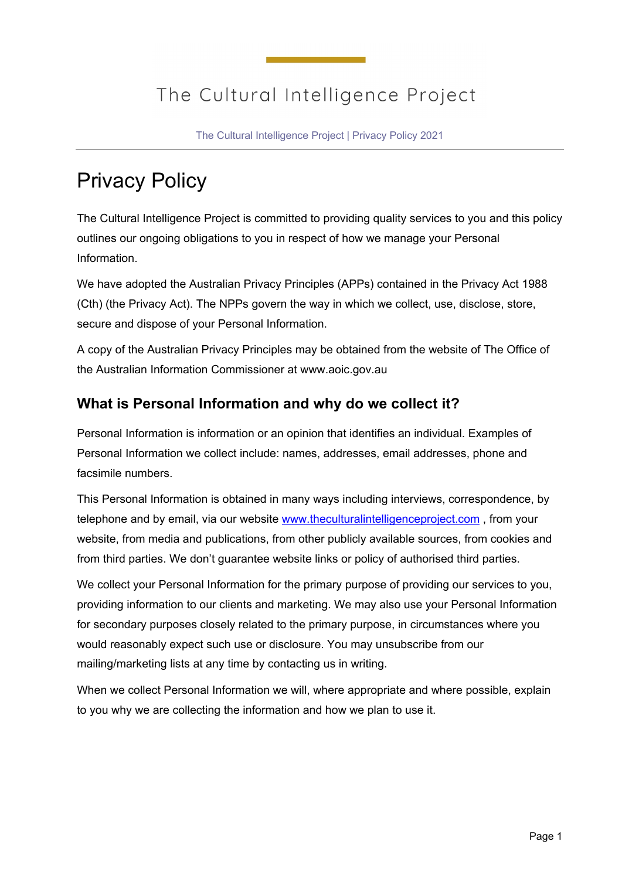## The Cultural Intelligence Project

The Cultural Intelligence Project | Privacy Policy 2021

# Privacy Policy

The Cultural Intelligence Project is committed to providing quality services to you and this policy outlines our ongoing obligations to you in respect of how we manage your Personal Information.

We have adopted the Australian Privacy Principles (APPs) contained in the Privacy Act 1988 (Cth) (the Privacy Act). The NPPs govern the way in which we collect, use, disclose, store, secure and dispose of your Personal Information.

A copy of the Australian Privacy Principles may be obtained from the website of The Office of the Australian Information Commissioner at www.aoic.gov.au

### **What is Personal Information and why do we collect it?**

Personal Information is information or an opinion that identifies an individual. Examples of Personal Information we collect include: names, addresses, email addresses, phone and facsimile numbers.

This Personal Information is obtained in many ways including interviews, correspondence, by telephone and by email, via our website [www.theculturalintelligenceproject.com](http://www.theculturalintelligenceproject.com/), from your website, from media and publications, from other publicly available sources, from cookies and from third parties. We don't guarantee website links or policy of authorised third parties.

We collect your Personal Information for the primary purpose of providing our services to you, providing information to our clients and marketing. We may also use your Personal Information for secondary purposes closely related to the primary purpose, in circumstances where you would reasonably expect such use or disclosure. You may unsubscribe from our mailing/marketing lists at any time by contacting us in writing.

When we collect Personal Information we will, where appropriate and where possible, explain to you why we are collecting the information and how we plan to use it.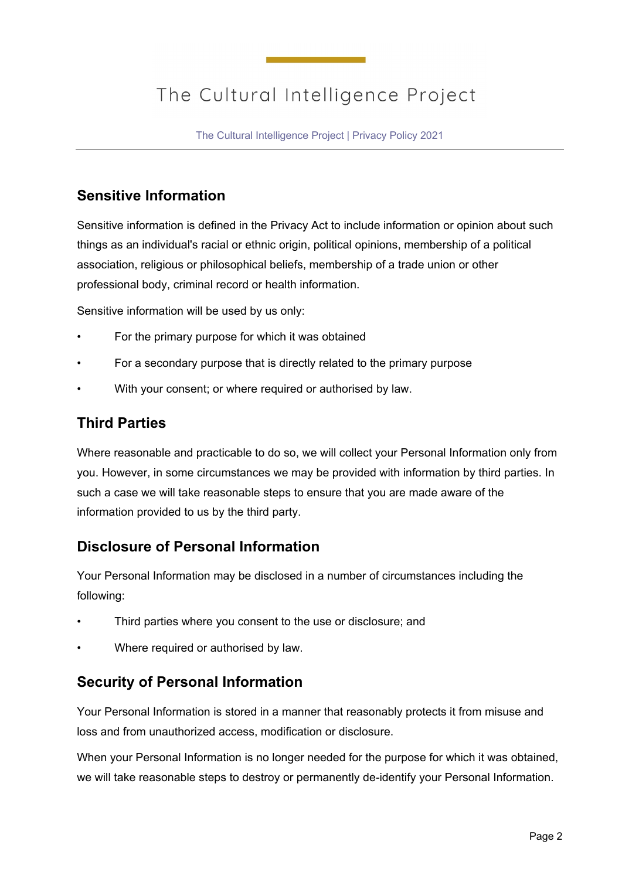## The Cultural Intelligence Project

The Cultural Intelligence Project | Privacy Policy 2021

#### **Sensitive Information**

Sensitive information is defined in the Privacy Act to include information or opinion about such things as an individual's racial or ethnic origin, political opinions, membership of a political association, religious or philosophical beliefs, membership of a trade union or other professional body, criminal record or health information.

Sensitive information will be used by us only:

- For the primary purpose for which it was obtained
- For a secondary purpose that is directly related to the primary purpose
- With your consent; or where required or authorised by law.

#### **Third Parties**

Where reasonable and practicable to do so, we will collect your Personal Information only from you. However, in some circumstances we may be provided with information by third parties. In such a case we will take reasonable steps to ensure that you are made aware of the information provided to us by the third party.

#### **Disclosure of Personal Information**

Your Personal Information may be disclosed in a number of circumstances including the following:

- Third parties where you consent to the use or disclosure; and
- Where required or authorised by law.

#### **Security of Personal Information**

Your Personal Information is stored in a manner that reasonably protects it from misuse and loss and from unauthorized access, modification or disclosure.

When your Personal Information is no longer needed for the purpose for which it was obtained, we will take reasonable steps to destroy or permanently de-identify your Personal Information.